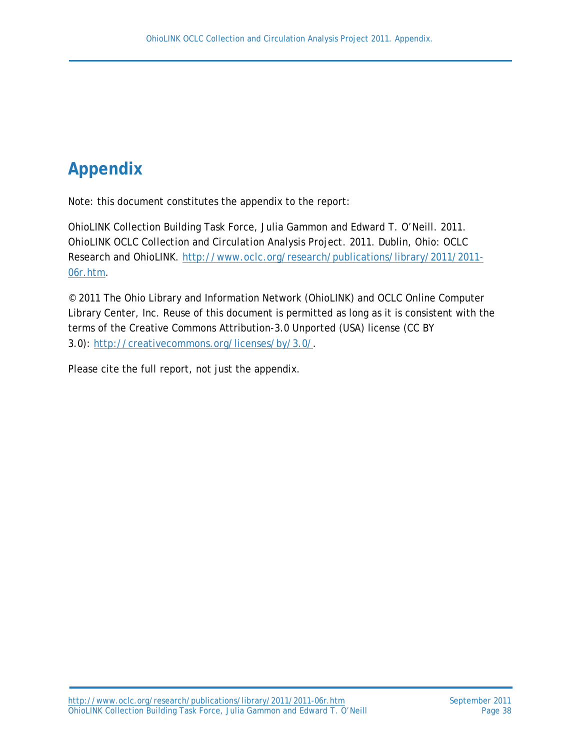# **Appendix**

Note: this document constitutes the appendix to the report:

OhioLINK Collection Building Task Force, Julia Gammon and Edward T. O'Neill. 2011. *OhioLINK OCLC Collection and Circulation Analysis Project. 2011*. Dublin, Ohio: OCLC Research and OhioLINK. [http://www.oclc.org/research/publications/library/2011/2011-](http://www.oclc.org/research/publications/library/2011/2011-06r.htm) [06r.htm.](http://www.oclc.org/research/publications/library/2011/2011-06r.htm)

© 2011 The Ohio Library and Information Network (OhioLINK) and OCLC Online Computer Library Center, Inc. Reuse of this document is permitted as long as it is consistent with the terms of the Creative Commons Attribution-3.0 Unported (USA) license (CC BY 3.0): [http://creativecommons.org/licenses/by/3.0/.](http://creativecommons.org/licenses/by/3.0/)

Please cite the full report, not just the appendix.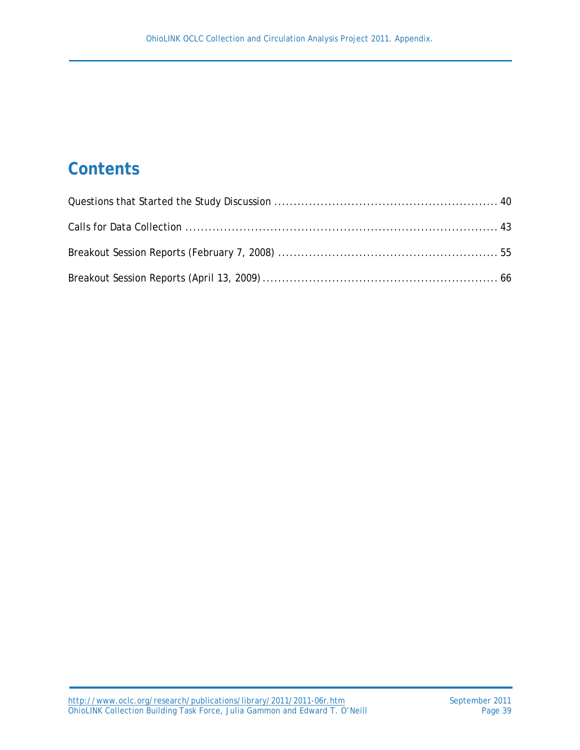# **Contents**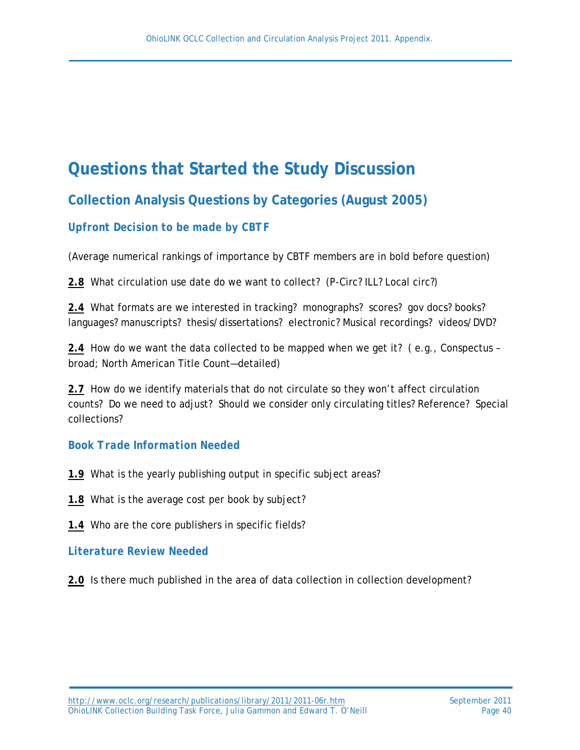# **Questions that Started the Study Discussion**

# **Collection Analysis Questions by Categories (August 2005)**

# *Upfront Decision to be made by CBTF*

(Average numerical rankings of importance by CBTF members are in bold before question)

**2.8** What circulation use date do we want to collect? (P-Circ? ILL? Local circ?)

**2.4** What formats are we interested in tracking? monographs? scores? gov docs? books? languages? manuscripts? thesis/dissertations? electronic? Musical recordings? videos/DVD?

**2.4** How do we want the data collected to be mapped when we get it? ( e.g., Conspectus – broad; North American Title Count—detailed)

**2.7** How do we identify materials that do not circulate so they won't affect circulation counts? Do we need to adjust? Should we consider only circulating titles? Reference? Special collections?

# *Book Trade Information Needed*

- **1.9** What is the yearly publishing output in specific subject areas?
- **1.8** What is the average cost per book by subject?
- **1.4** Who are the core publishers in specific fields?

# *Literature Review Needed*

**2.0** Is there much published in the area of data collection in collection development?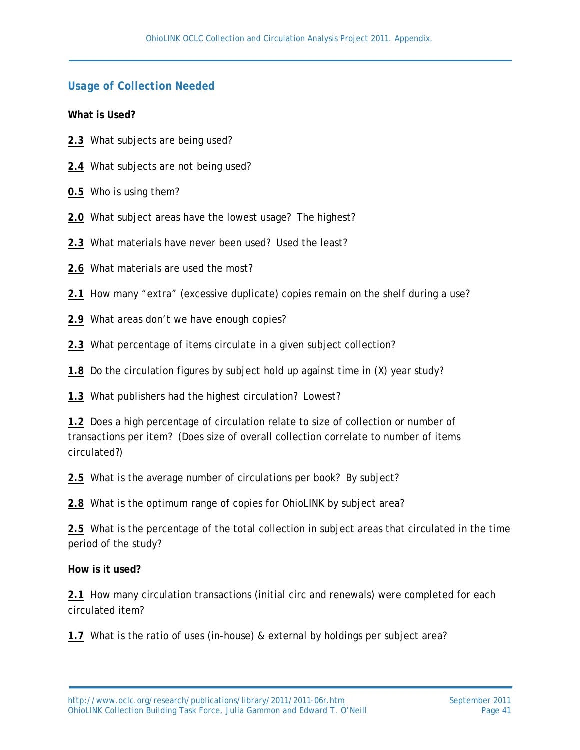# *Usage of Collection Needed*

**What is Used?**

- **2.3** What subjects *are* being used?
- **2.4** What subjects *are not* being used?
- **0.5** Who is using them?
- **2.0** What subject areas have the lowest usage? The highest?
- **2.3** What materials have never been used? Used the least?
- **2.6** What materials are used the most?
- **2.1** How many "extra" (excessive duplicate) copies remain on the shelf during a use?
- **2.9** What areas don't we have enough copies?
- **2.3** What percentage of items circulate in a given subject collection?
- **1.8** Do the circulation figures by subject hold up against time in (X) year study?
- **1.3** What publishers had the highest circulation? Lowest?

**1.2** Does a high percentage of circulation relate to size of collection or number of transactions per item? (Does size of overall collection correlate to number of items circulated?)

**2.5** What is the average number of circulations per book? By subject?

**2.8** What is the optimum range of copies for OhioLINK by subject area?

**2.5** What is the percentage of the total collection in subject areas that circulated in the time period of the study?

#### **How is it used?**

**2.1** How many circulation transactions (initial circ and renewals) were completed for each circulated item?

**1.7** What is the ratio of uses (in-house) & external by holdings per subject area?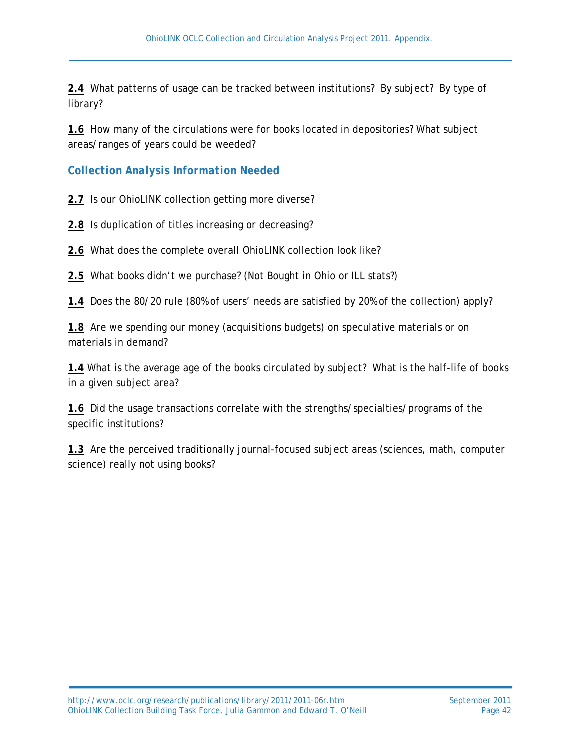**2.4** What patterns of usage can be tracked between institutions? By subject? By type of library?

**1.6** How many of the circulations were for books located in depositories? What subject areas/ranges of years could be weeded?

*Collection Analysis Information Needed*

**2.7** Is our OhioLINK collection getting more diverse?

- **2.8** Is duplication of titles increasing or decreasing?
- **2.6** What does the complete overall OhioLINK collection look like?

**2.5** What books didn't we purchase? (Not Bought in Ohio or ILL stats?)

**1.4** Does the 80/20 rule (80% of users' needs are satisfied by 20% of the collection) apply?

**1.8** Are we spending our money (acquisitions budgets) on speculative materials or on materials in demand?

**1.4** What is the average age of the books circulated by subject? What is the half-life of books in a given subject area?

**1.6** Did the usage transactions correlate with the strengths/specialties/programs of the specific institutions?

**1.3** Are the perceived traditionally journal-focused subject areas (sciences, math, computer science) really not using books?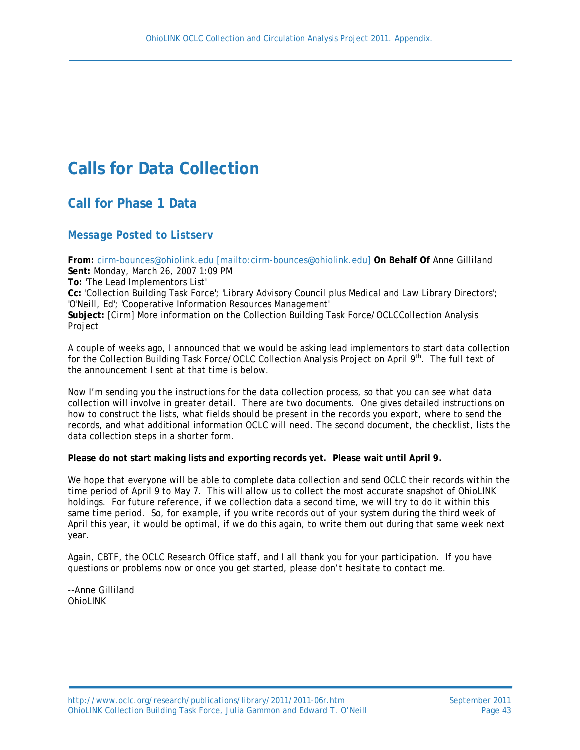# **Calls for Data Collection**

**Call for Phase 1 Data**

#### *Message Posted to Listserv*

**From:** [cirm-bounces@ohiolink.edu](mailto:cirm-bounces@ohiolink.edu) [\[mailto:cirm-bounces@ohiolink.edu\]](mailto:[mailto:cirm-bounces@ohiolink.edu]) **On Behalf Of** Anne Gilliland **Sent:** Monday, March 26, 2007 1:09 PM **To:** 'The Lead Implementors List' **Cc:** 'Collection Building Task Force'; 'Library Advisory Council plus Medical and Law Library Directors'; 'O'Neill, Ed'; 'Cooperative Information Resources Management' **Subject:** [Cirm] More information on the Collection Building Task Force/OCLCCollection Analysis Project

A couple of weeks ago, I announced that we would be asking lead implementors to start data collection for the Collection Building Task Force/OCLC Collection Analysis Project on April 9<sup>th</sup>. The full text of the announcement I sent at that time is below.

Now I'm sending you the instructions for the data collection process, so that you can see what data collection will involve in greater detail. There are two documents. One gives detailed instructions on how to construct the lists, what fields should be present in the records you export, where to send the records, and what additional information OCLC will need. The second document, the checklist, lists the data collection steps in a shorter form.

**Please do not start making lists and exporting records yet. Please wait until April 9.**

We hope that everyone will be able to complete data collection and send OCLC their records within the time period of April 9 to May 7. This will allow us to collect the most accurate snapshot of OhioLINK holdings. For future reference, if we collection data a second time, we will try to do it within this same time period. So, for example, if you write records out of your system during the third week of April this year, it would be optimal, if we do this again, to write them out during that same week next year.

Again, CBTF, the OCLC Research Office staff, and I all thank you for your participation. If you have questions or problems now or once you get started, please don't hesitate to contact me.

--Anne Gilliland OhioLINK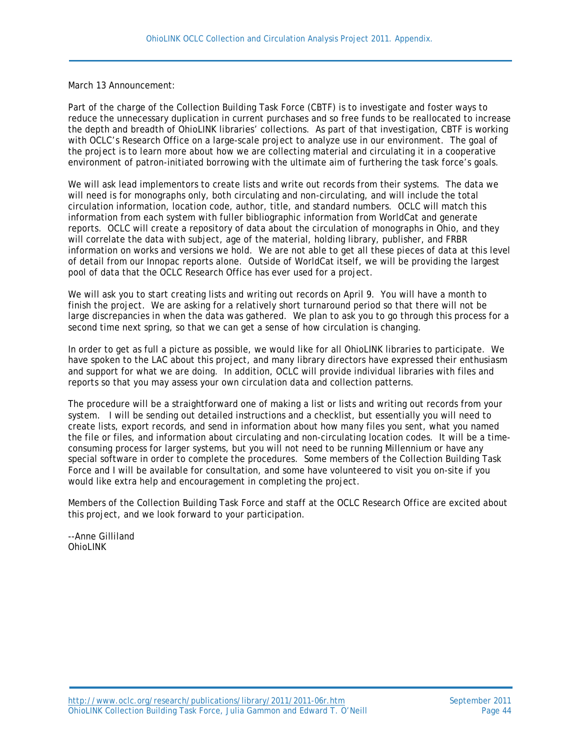March 13 Announcement:

Part of the charge of the Collection Building Task Force (CBTF) is to investigate and foster ways to reduce the unnecessary duplication in current purchases and so free funds to be reallocated to increase the depth and breadth of OhioLINK libraries' collections. As part of that investigation, CBTF is working with OCLC's Research Office on a large-scale project to analyze use in our environment. The goal of the project is to learn more about how we are collecting material and circulating it in a cooperative environment of patron-initiated borrowing with the ultimate aim of furthering the task force's goals.

We will ask lead implementors to create lists and write out records from their systems. The data we will need is for monographs only, both circulating and non-circulating, and will include the total circulation information, location code, author, title, and standard numbers. OCLC will match this information from each system with fuller bibliographic information from WorldCat and generate reports. OCLC will create a repository of data about the circulation of monographs in Ohio, and they will correlate the data with subject, age of the material, holding library, publisher, and FRBR information on works and versions we hold. We are not able to get all these pieces of data at this level of detail from our Innopac reports alone. Outside of WorldCat itself, we will be providing the largest pool of data that the OCLC Research Office has ever used for a project.

We will ask you to start creating lists and writing out records on April 9. You will have a month to finish the project. We are asking for a relatively short turnaround period so that there will not be large discrepancies in when the data was gathered. We plan to ask you to go through this process for a second time next spring, so that we can get a sense of how circulation is changing.

In order to get as full a picture as possible, we would like for all OhioLINK libraries to participate. We have spoken to the LAC about this project, and many library directors have expressed their enthusiasm and support for what we are doing. In addition, OCLC will provide individual libraries with files and reports so that you may assess your own circulation data and collection patterns.

The procedure will be a straightforward one of making a list or lists and writing out records from your system. I will be sending out detailed instructions and a checklist, but essentially you will need to create lists, export records, and send in information about how many files you sent, what you named the file or files, and information about circulating and non-circulating location codes. It will be a timeconsuming process for larger systems, but you will not need to be running Millennium or have any special software in order to complete the procedures. Some members of the Collection Building Task Force and I will be available for consultation, and some have volunteered to visit you on-site if you would like extra help and encouragement in completing the project.

Members of the Collection Building Task Force and staff at the OCLC Research Office are excited about this project, and we look forward to your participation.

--Anne Gilliland OhioLINK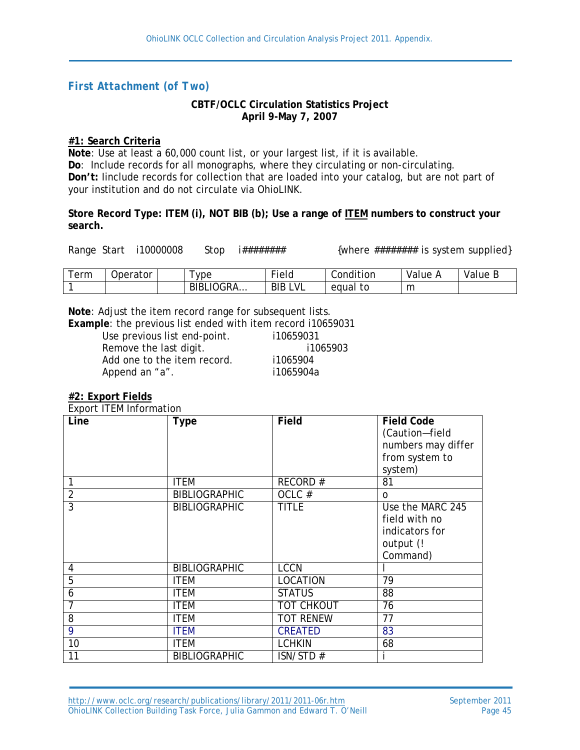# *First Attachment (of Two)*

#### **CBTF/OCLC Circulation Statistics Project April 9-May 7, 2007**

#### **#1: Search Criteria**

**Note**: Use at least a 60,000 count list, or your largest list, if it is available. **Do**: Include records for all monographs, where they circulating or non-circulating. **Don't:** Iinclude records for collection that are loaded into your catalog, but are not part of your institution and do not circulate via OhioLINK.

**Store Record Type: ITEM (i), NOT BIB (b); Use a range of ITEM numbers to construct your search.**

Range Start i10000008 Stop i######## {where ######## is system supplied}

| erm | Operator | <b>vpe</b>    | $-$<br>ield           | .<br>Condition | Value | Value |
|-----|----------|---------------|-----------------------|----------------|-------|-------|
|     |          | `∩GRA…<br>BIB | VL<br><b>BIB</b><br>- | tc<br>equal    | m     |       |

**Note**: Adjust the item record range for subsequent lists.

**Example: the previous list ended with item record i10659031** utous list and point.

| Use previous list end-point. | 110659031 |
|------------------------------|-----------|
| Remove the last digit.       | i1065903  |
| Add one to the item record.  | i1065904  |
| Append an "a".               | i1065904a |
|                              |           |

#### **#2: Export Fields**

Export ITEM Information

| Line           | <b>Type</b>          | <b>Field</b>      | <b>Field Code</b><br>(Caution-field<br>numbers may differ<br>from system to<br>system) |
|----------------|----------------------|-------------------|----------------------------------------------------------------------------------------|
|                | <b>ITEM</b>          | RECORD#           | 81                                                                                     |
| $\overline{2}$ | <b>BIBLIOGRAPHIC</b> | OCLC#             | $\Omega$                                                                               |
| $\overline{3}$ | <b>BIBLIOGRAPHIC</b> | <b>TITLE</b>      | Use the MARC 245<br>field with no<br>indicators for<br>output (!<br>Command)           |
| 4              | <b>BIBLIOGRAPHIC</b> | <b>LCCN</b>       |                                                                                        |
| $\overline{5}$ | <b>ITEM</b>          | <b>LOCATION</b>   | 79                                                                                     |
| 6              | <b>ITEM</b>          | <b>STATUS</b>     | 88                                                                                     |
| $\overline{7}$ | <b>ITEM</b>          | <b>TOT CHKOUT</b> | 76                                                                                     |
| 8              | <b>ITEM</b>          | <b>TOT RENEW</b>  | 77                                                                                     |
| 9              | <b>ITEM</b>          | <b>CREATED</b>    | 83                                                                                     |
| 10             | <b>ITEM</b>          | <b>LCHKIN</b>     | 68                                                                                     |
| 11             | <b>BIBLIOGRAPHIC</b> | ISN/STD#          |                                                                                        |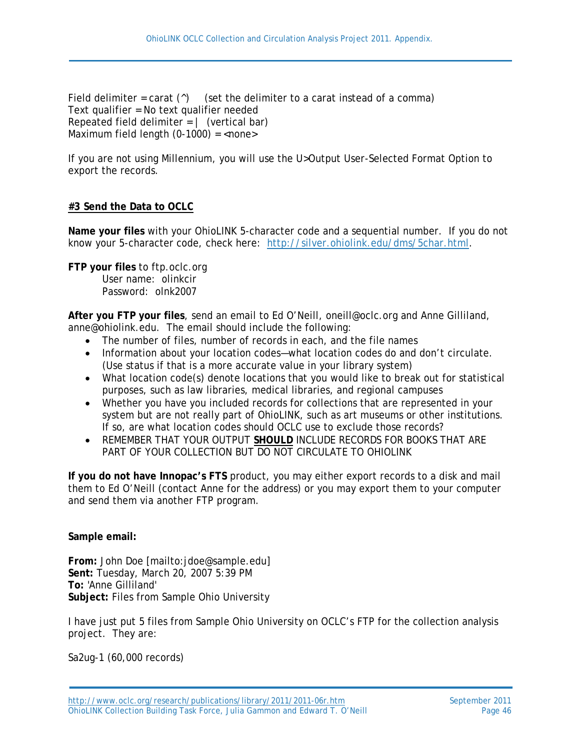Field delimiter = carat  $(^{\wedge})$  (set the delimiter to a carat instead of a comma) Text qualifier = No text qualifier needed Repeated field delimiter  $= |$  (vertical bar) Maximum field length  $(0-1000) =$  <none>

If you are not using Millennium, you will use the U>Output User-Selected Format Option to export the records.

### **#3 Send the Data to OCLC**

**Name your files** with your OhioLINK 5-character code and a sequential number. If you do not know your 5-character code, check here: [http://silver.ohiolink.edu/dms/5char.html.](http://silver.ohiolink.edu/dms/5char.html)

**FTP your files** to ftp.oclc.org User name: olinkcir

Password: olnk2007

**After you FTP your files**, send an email to Ed O'Neill, oneill@oclc.org and Anne Gilliland, anne@ohiolink.edu. The email should include the following:

- The number of files, number of records in each, and the file names
- Information about your location codes—what location codes do and don't circulate. (Use status if that is a more accurate value in your library system)
- What location code(s) denote locations that you would like to break out for statistical purposes, such as law libraries, medical libraries, and regional campuses
- Whether you have you included records for collections that are represented in your system but are not really part of OhioLINK, such as art museums or other institutions. If so, are what location codes should OCLC use to exclude those records?
- REMEMBER THAT YOUR OUTPUT **SHOULD** INCLUDE RECORDS FOR BOOKS THAT ARE PART OF YOUR COLLECTION BUT DO NOT CIRCULATE TO OHIOLINK

**If you do not have Innopac's FTS** product, you may either export records to a disk and mail them to Ed O'Neill (contact Anne for the address) or you may export them to your computer and send them via another FTP program.

**Sample email:**

**From:** John Doe [mailto:jdoe@sample.edu] **Sent:** Tuesday, March 20, 2007 5:39 PM **To:** 'Anne Gilliland' **Subject:** Files from Sample Ohio University

I have just put 5 files from Sample Ohio University on OCLC's FTP for the collection analysis project. They are:

Sa2ug-1 (60,000 records)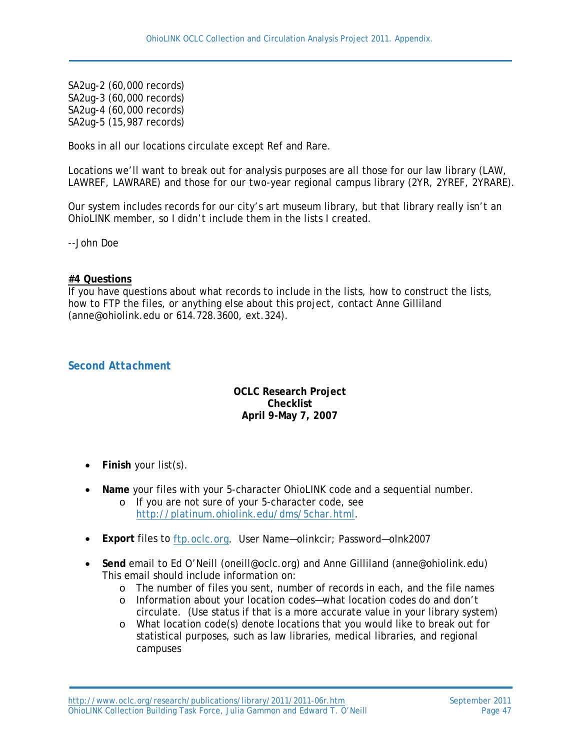SA2ug-2 (60,000 records) SA2ug-3 (60,000 records) SA2ug-4 (60,000 records) SA2ug-5 (15,987 records)

Books in all our locations circulate except Ref and Rare.

Locations we'll want to break out for analysis purposes are all those for our law library (LAW, LAWREF, LAWRARE) and those for our two-year regional campus library (2YR, 2YREF, 2YRARE).

Our system includes records for our city's art museum library, but that library really isn't an OhioLINK member, so I didn't include them in the lists I created.

--John Doe

#### **#4 Questions**

If you have questions about what records to include in the lists, how to construct the lists, how to FTP the files, or anything else about this project, contact Anne Gilliland (anne@ohiolink.edu or 614.728.3600, ext.324).

#### *Second Attachment*

#### **OCLC Research Project Checklist April 9-May 7, 2007**

- **Finish** your list(s).
- **Name** your files with your 5-character OhioLINK code and a sequential number.
	- o If you are not sure of your 5-character code, see [http://platinum.ohiolink.edu/dms/5char.html.](http://platinum.ohiolink.edu/dms/5char.html)
- **Export** files to [ftp.oclc.org.](ftp://ftp.oclc.org/) User Name—olinkcir; Password—olnk2007
- **Send** email to Ed O'Neill (oneill@oclc.org) and Anne Gilliland (anne@ohiolink.edu) This email should include information on:
	- o The number of files you sent, number of records in each, and the file names
	- o Information about your location codes—what location codes do and don't circulate. (Use status if that is a more accurate value in your library system)
	- o What location code(s) denote locations that you would like to break out for statistical purposes, such as law libraries, medical libraries, and regional campuses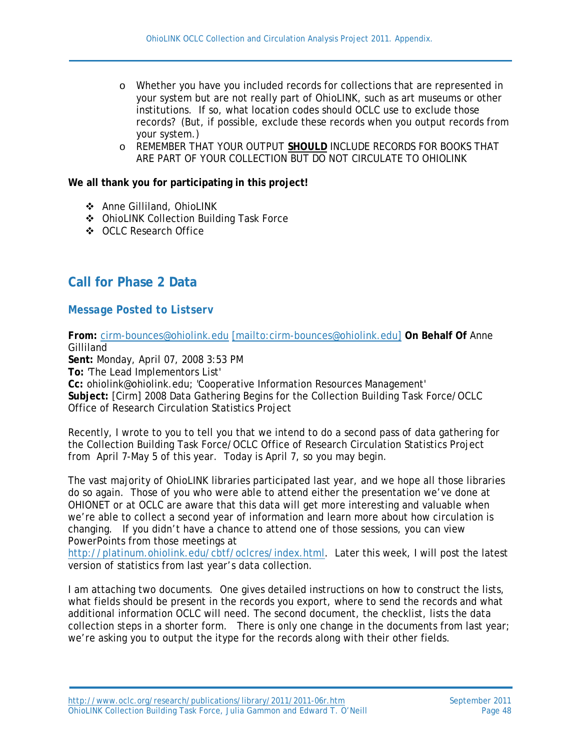- o Whether you have you included records for collections that are represented in your system but are not really part of OhioLINK, such as art museums or other institutions. If so, what location codes should OCLC use to exclude those records? (But, if possible, exclude these records when you output records from your system.)
- o REMEMBER THAT YOUR OUTPUT **SHOULD** INCLUDE RECORDS FOR BOOKS THAT ARE PART OF YOUR COLLECTION BUT DO NOT CIRCULATE TO OHIOLINK

**We all thank you for participating in this project!**

- Anne Gilliland, OhioLINK
- OhioLINK Collection Building Task Force
- OCLC Research Office

# **Call for Phase 2 Data**

### *Message Posted to Listserv*

**From:** [cirm-bounces@ohiolink.edu](mailto:cirm-bounces@ohiolink.edu) [\[mailto:cirm-bounces@ohiolink.edu\]](mailto:[mailto:cirm-bounces@ohiolink.edu]) **On Behalf Of** Anne Gilliland

**Sent:** Monday, April 07, 2008 3:53 PM

**To:** 'The Lead Implementors List'

**Cc:** ohiolink@ohiolink.edu; 'Cooperative Information Resources Management' **Subject:** [Cirm] 2008 Data Gathering Begins for the Collection Building Task Force/OCLC Office of Research Circulation Statistics Project

Recently, I wrote to you to tell you that we intend to do a second pass of data gathering for the Collection Building Task Force/OCLC Office of Research Circulation Statistics Project from April 7-May 5 of this year. Today is April 7, so you may begin.

The vast majority of OhioLINK libraries participated last year, and we hope all those libraries do so again. Those of you who were able to attend either the presentation we've done at OHIONET or at OCLC are aware that this data will get more interesting and valuable when we're able to collect a second year of information and learn more about how circulation is changing. If you didn't have a chance to attend one of those sessions, you can view PowerPoints from those meetings at

[http://platinum.ohiolink.edu/cbtf/oclcres/index.html.](http://platinum.ohiolink.edu/cbtf/oclcres/index.html) Later this week, I will post the latest version of statistics from last year's data collection.

I am attaching two documents. One gives detailed instructions on how to construct the lists, what fields should be present in the records you export, where to send the records and what additional information OCLC will need. The second document, the checklist, lists the data collection steps in a shorter form. There is only one change in the documents from last year; we're asking you to output the itype for the records along with their other fields.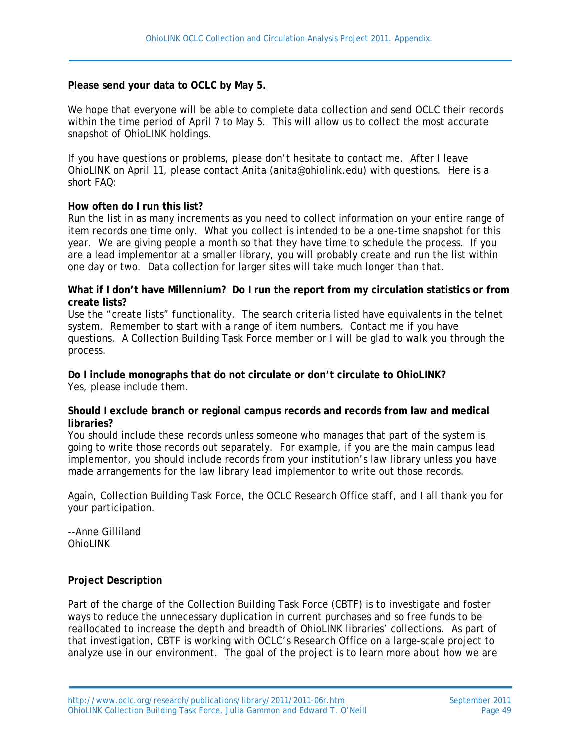#### **Please send your data to OCLC by May 5.**

We hope that everyone will be able to complete data collection and send OCLC their records within the time period of April 7 to May 5. This will allow us to collect the most accurate snapshot of OhioLINK holdings.

If you have questions or problems, please don't hesitate to contact me. After I leave OhioLINK on April 11, please contact Anita (anita@ohiolink.edu) with questions. Here is a short FAQ:

#### **How often do I run this list?**

Run the list in as many increments as you need to collect information on your entire range of item records one time only. What you collect is intended to be a one-time snapshot for this year. We are giving people a month so that they have time to schedule the process. If you are a lead implementor at a smaller library, you will probably create and run the list within one day or two. Data collection for larger sites will take much longer than that.

#### **What if I don't have Millennium? Do I run the report from my circulation statistics or from create lists?**

Use the "create lists" functionality. The search criteria listed have equivalents in the telnet system. Remember to start with a range of item numbers. Contact me if you have questions. A Collection Building Task Force member or I will be glad to walk you through the process.

**Do I include monographs that do not circulate or don't circulate to OhioLINK?** Yes, please include them.

#### **Should I exclude branch or regional campus records and records from law and medical libraries?**

You should include these records unless someone who manages that part of the system is going to write those records out separately. For example, if you are the main campus lead implementor, you should include records from your institution's law library unless you have made arrangements for the law library lead implementor to write out those records.

Again, Collection Building Task Force, the OCLC Research Office staff, and I all thank you for your participation.

--Anne Gilliland OhioLINK

#### **Project Description**

Part of the charge of the Collection Building Task Force (CBTF) is to investigate and foster ways to reduce the unnecessary duplication in current purchases and so free funds to be reallocated to increase the depth and breadth of OhioLINK libraries' collections. As part of that investigation, CBTF is working with OCLC's Research Office on a large-scale project to analyze use in our environment. The goal of the project is to learn more about how we are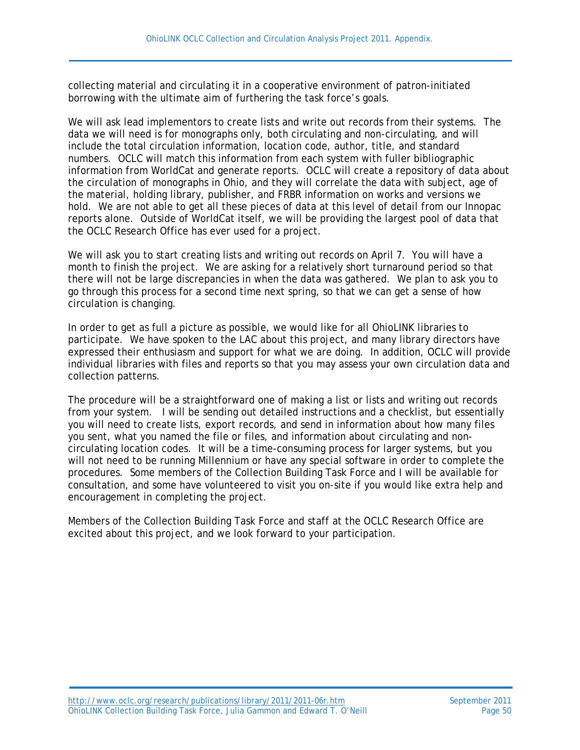collecting material and circulating it in a cooperative environment of patron-initiated borrowing with the ultimate aim of furthering the task force's goals.

We will ask lead implementors to create lists and write out records from their systems. The data we will need is for monographs only, both circulating and non-circulating, and will include the total circulation information, location code, author, title, and standard numbers. OCLC will match this information from each system with fuller bibliographic information from WorldCat and generate reports. OCLC will create a repository of data about the circulation of monographs in Ohio, and they will correlate the data with subject, age of the material, holding library, publisher, and FRBR information on works and versions we hold. We are not able to get all these pieces of data at this level of detail from our Innopac reports alone. Outside of WorldCat itself, we will be providing the largest pool of data that the OCLC Research Office has ever used for a project.

We will ask you to start creating lists and writing out records on April 7. You will have a month to finish the project. We are asking for a relatively short turnaround period so that there will not be large discrepancies in when the data was gathered. We plan to ask you to go through this process for a second time next spring, so that we can get a sense of how circulation is changing.

In order to get as full a picture as possible, we would like for all OhioLINK libraries to participate. We have spoken to the LAC about this project, and many library directors have expressed their enthusiasm and support for what we are doing. In addition, OCLC will provide individual libraries with files and reports so that you may assess your own circulation data and collection patterns.

The procedure will be a straightforward one of making a list or lists and writing out records from your system. I will be sending out detailed instructions and a checklist, but essentially you will need to create lists, export records, and send in information about how many files you sent, what you named the file or files, and information about circulating and noncirculating location codes. It will be a time-consuming process for larger systems, but you will not need to be running Millennium or have any special software in order to complete the procedures. Some members of the Collection Building Task Force and I will be available for consultation, and some have volunteered to visit you on-site if you would like extra help and encouragement in completing the project.

Members of the Collection Building Task Force and staff at the OCLC Research Office are excited about this project, and we look forward to your participation.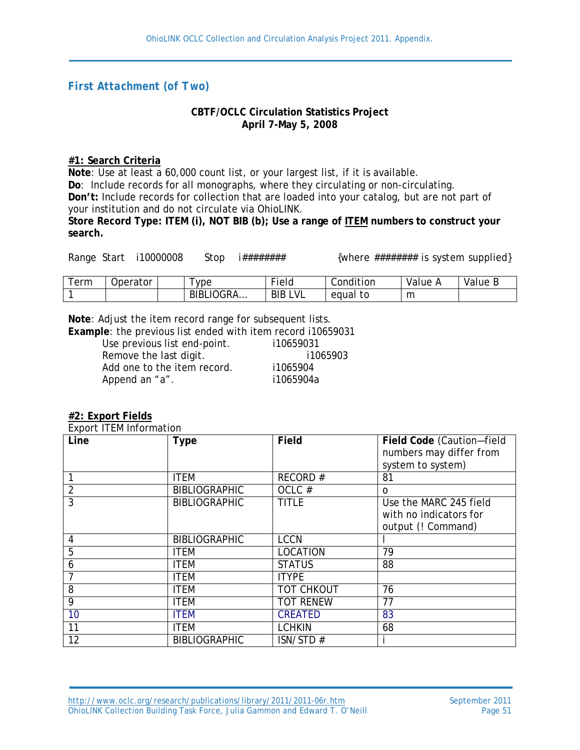## *First Attachment (of Two)*

#### **CBTF/OCLC Circulation Statistics Project April 7-May 5, 2008**

#### **#1: Search Criteria**

**Note**: Use at least a 60,000 count list, or your largest list, if it is available. **Do**: Include records for all monographs, where they circulating or non-circulating. **Don't:** Include records for collection that are loaded into your catalog, but are not part of your institution and do not circulate via OhioLINK.

**Store Record Type: ITEM (i), NOT BIB (b); Use a range of ITEM numbers to construct your search.**

Range Start i10000008 Stop i######## {where ######## is system supplied}

| erm | Jperator | ype                          | $-$<br>Field      | Condition   | Value | Value<br>◡ |
|-----|----------|------------------------------|-------------------|-------------|-------|------------|
|     |          | <b>'OGRA</b><br><b>BIBLI</b> | LVL<br><b>BIB</b> | to<br>equal | m     |            |

**Note**: Adjust the item record range for subsequent lists.

**Example**: the previous list ended with item record i10659031

| Use previous list end-point. | i10659031 |
|------------------------------|-----------|
| Remove the last digit.       | i1065903  |
| Add one to the item record.  | i1065904  |
| Append an "a".               | i1065904a |
|                              |           |

#### **#2: Export Fields**

Export ITEM Information

| Line | Type                 | <b>Field</b>      | Field Code (Caution-field<br>numbers may differ from<br>system to system) |
|------|----------------------|-------------------|---------------------------------------------------------------------------|
|      | <b>ITEM</b>          | RECORD#           | 81                                                                        |
| 2    | <b>BIBLIOGRAPHIC</b> | OCLC#             | 0                                                                         |
| 3    | <b>BIBLIOGRAPHIC</b> | <b>TITLE</b>      | Use the MARC 245 field<br>with no indicators for<br>output (! Command)    |
| 4    | <b>BIBLIOGRAPHIC</b> | <b>LCCN</b>       |                                                                           |
| 5    | <b>ITEM</b>          | <b>LOCATION</b>   | 79                                                                        |
| 6    | <b>ITEM</b>          | <b>STATUS</b>     | 88                                                                        |
|      | <b>ITEM</b>          | <b>ITYPE</b>      |                                                                           |
| 8    | <b>ITEM</b>          | <b>TOT CHKOUT</b> | 76                                                                        |
| 9    | <b>ITEM</b>          | <b>TOT RENEW</b>  | 77                                                                        |
| 10   | <b>ITEM</b>          | <b>CREATED</b>    | 83                                                                        |
| 11   | <b>ITEM</b>          | <b>LCHKIN</b>     | 68                                                                        |
| 12   | <b>BIBLIOGRAPHIC</b> | ISN/STD#          |                                                                           |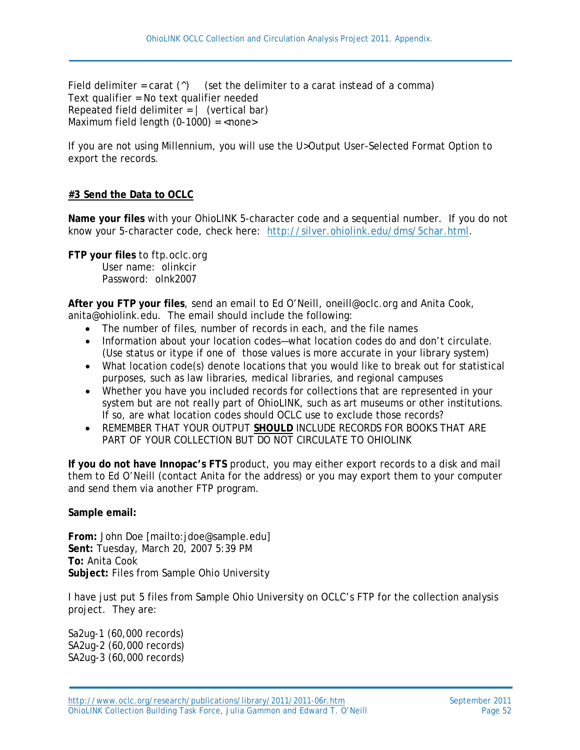Field delimiter = carat  $(^\wedge)$  (set the delimiter to a carat instead of a comma) Text qualifier = No text qualifier needed Repeated field delimiter  $= |$  (vertical bar) Maximum field length  $(0-1000) =$ <none>

If you are not using Millennium, you will use the U>Output User-Selected Format Option to export the records.

# **#3 Send the Data to OCLC**

**Name your files** with your OhioLINK 5-character code and a sequential number. If you do not know your 5-character code, check here: [http://silver.ohiolink.edu/dms/5char.html.](http://silver.ohiolink.edu/dms/5char.html)

**FTP your files** to ftp.oclc.org User name: olinkcir Password: olnk2007

**After you FTP your files**, send an email to Ed O'Neill, oneill@oclc.org and Anita Cook, anita@ohiolink.edu. The email should include the following:

- The number of files, number of records in each, and the file names
- Information about your location codes—what location codes do and don't circulate. (Use status or itype if one of those values is more accurate in your library system)
- What location code(s) denote locations that you would like to break out for statistical purposes, such as law libraries, medical libraries, and regional campuses
- Whether you have you included records for collections that are represented in your system but are not really part of OhioLINK, such as art museums or other institutions. If so, are what location codes should OCLC use to exclude those records?
- REMEMBER THAT YOUR OUTPUT **SHOULD** INCLUDE RECORDS FOR BOOKS THAT ARE PART OF YOUR COLLECTION BUT DO NOT CIRCULATE TO OHIOLINK

**If you do not have Innopac's FTS** product, you may either export records to a disk and mail them to Ed O'Neill (contact Anita for the address) or you may export them to your computer and send them via another FTP program.

**Sample email:**

**From:** John Doe [mailto:jdoe@sample.edu] **Sent:** Tuesday, March 20, 2007 5:39 PM **To:** Anita Cook **Subject:** Files from Sample Ohio University

I have just put 5 files from Sample Ohio University on OCLC's FTP for the collection analysis project. They are:

Sa2ug-1 (60,000 records) SA2ug-2 (60,000 records) SA2ug-3 (60,000 records)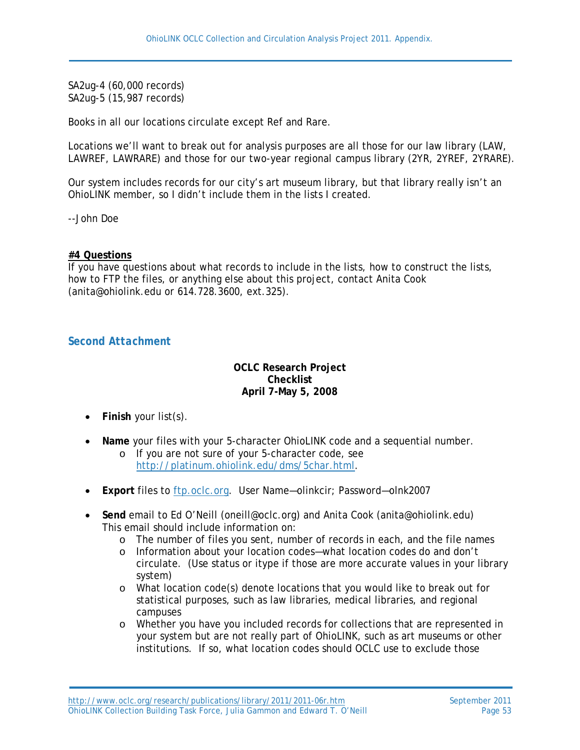SA2ug-4 (60,000 records) SA2ug-5 (15,987 records)

Books in all our locations circulate except Ref and Rare.

Locations we'll want to break out for analysis purposes are all those for our law library (LAW, LAWREF, LAWRARE) and those for our two-year regional campus library (2YR, 2YREF, 2YRARE).

Our system includes records for our city's art museum library, but that library really isn't an OhioLINK member, so I didn't include them in the lists I created.

--John Doe

#### **#4 Questions**

If you have questions about what records to include in the lists, how to construct the lists, how to FTP the files, or anything else about this project, contact Anita Cook (anita@ohiolink.edu or 614.728.3600, ext.325).

#### *Second Attachment*

#### **OCLC Research Project Checklist April 7-May 5, 2008**

- **Finish** your list(s).
- **Name** your files with your 5-character OhioLINK code and a sequential number.
	- o If you are not sure of your 5-character code, see [http://platinum.ohiolink.edu/dms/5char.html.](http://platinum.ohiolink.edu/dms/5char.html)
- **Export** files to [ftp.oclc.org.](ftp://ftp.oclc.org/) User Name—olinkcir; Password—olnk2007
- **Send** email to Ed O'Neill (oneill@oclc.org) and Anita Cook (anita@ohiolink.edu) This email should include information on:
	- o The number of files you sent, number of records in each, and the file names
	- o Information about your location codes—what location codes do and don't circulate. (Use status or itype if those are more accurate values in your library system)
	- o What location code(s) denote locations that you would like to break out for statistical purposes, such as law libraries, medical libraries, and regional campuses
	- o Whether you have you included records for collections that are represented in your system but are not really part of OhioLINK, such as art museums or other institutions. If so, what location codes should OCLC use to exclude those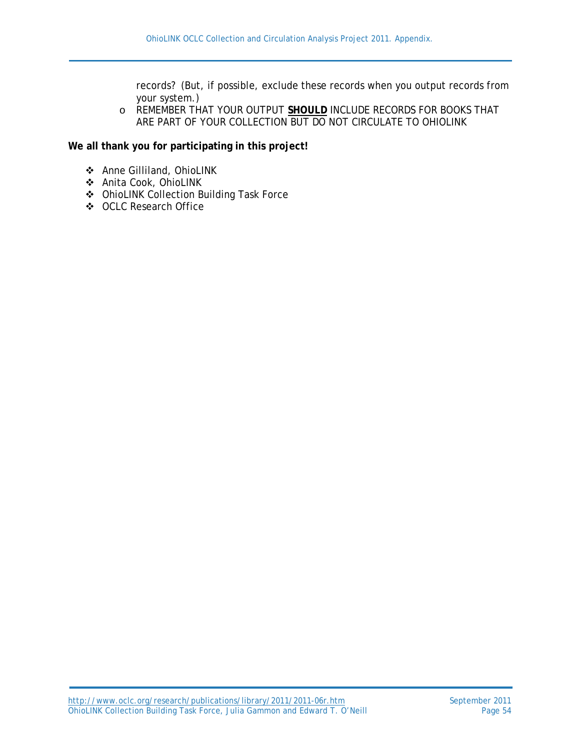records? (But, if possible, exclude these records when you output records from your system.)

o REMEMBER THAT YOUR OUTPUT **SHOULD** INCLUDE RECORDS FOR BOOKS THAT ARE PART OF YOUR COLLECTION BUT DO NOT CIRCULATE TO OHIOLINK

**We all thank you for participating in this project!**

- Anne Gilliland, OhioLINK
- Anita Cook, OhioLINK
- OhioLINK Collection Building Task Force
- OCLC Research Office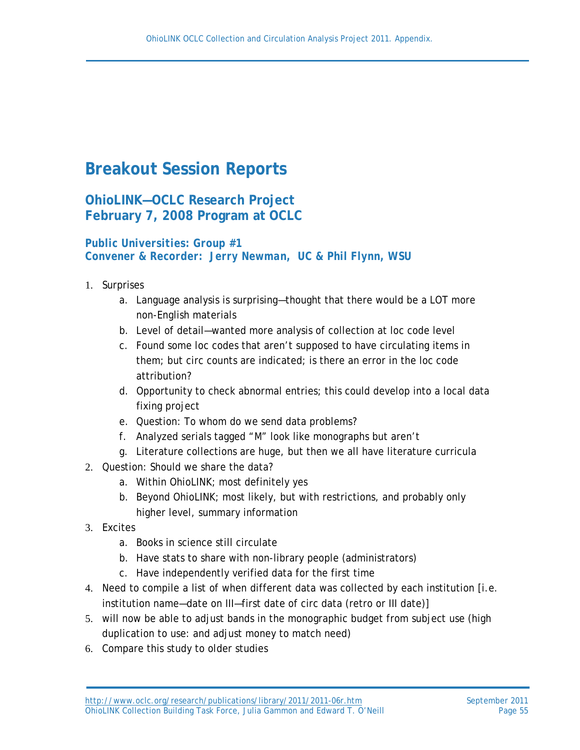# **Breakout Session Reports**

# **OhioLINK—OCLC Research Project February 7, 2008 Program at OCLC**

#### *Public Universities: Group #1 Convener & Recorder: Jerry Newman, UC & Phil Flynn, WSU*

- 1. Surprises
	- a. Language analysis is surprising—thought that there would be a LOT more non-English materials
	- b. Level of detail—wanted more analysis of collection at loc code level
	- c. Found some loc codes that aren't supposed to have circulating items in them; but circ counts are indicated; is there an error in the loc code attribution?
	- d. Opportunity to check abnormal entries; this could develop into a local data fixing project
	- e. Question: To whom do we send data problems?
	- f. Analyzed serials tagged "M" look like monographs but aren't
	- g. Literature collections are huge, but then we all have literature curricula
- 2. Question: Should we share the data?
	- a. Within OhioLINK; most definitely yes
	- b. Beyond OhioLINK; most likely, but with restrictions, and probably only higher level, summary information
- 3. Excites
	- a. Books in science still circulate
	- b. Have stats to share with non-library people (administrators)
	- c. Have independently verified data for the first time
- 4. Need to compile a list of when different data was collected by each institution [i.e. institution name—date on III—first date of circ data (retro or III date)]
- 5. will now be able to adjust bands in the monographic budget from subject use (high duplication to use: and adjust money to match need)
- 6. Compare this study to older studies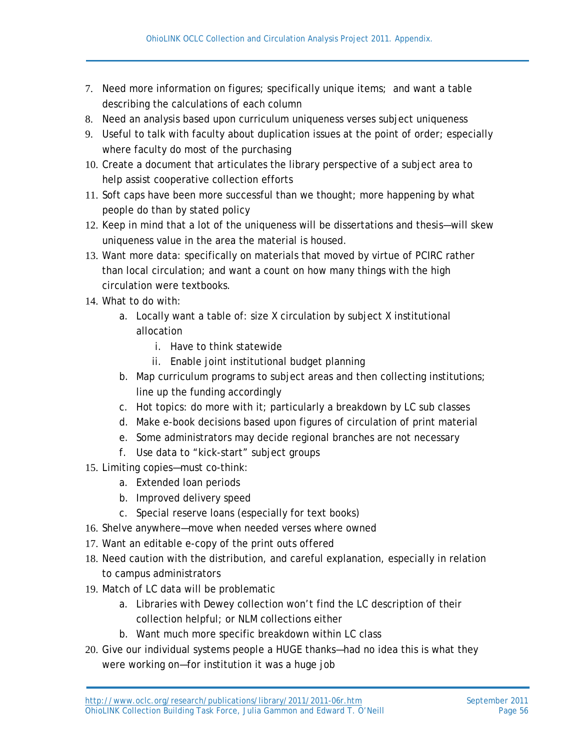- 7. Need more information on figures; specifically unique items; and want a table describing the calculations of each column
- 8. Need an analysis based upon curriculum uniqueness verses subject uniqueness
- 9. Useful to talk with faculty about duplication issues at the point of order; especially where faculty do most of the purchasing
- 10. Create a document that articulates the library perspective of a subject area to help assist cooperative collection efforts
- 11. Soft caps have been more successful than we thought; more happening by what people do than by stated policy
- 12. Keep in mind that a lot of the uniqueness will be dissertations and thesis—will skew uniqueness value in the area the material is housed.
- 13. Want more data: specifically on materials that moved by virtue of PCIRC rather than local circulation; and want a count on how many things with the high circulation were textbooks.
- 14. What to do with:
	- a. Locally want a table of: size X circulation by subject X institutional allocation
		- i. Have to think statewide
		- ii. Enable joint institutional budget planning
	- b. Map curriculum programs to subject areas and then collecting institutions; line up the funding accordingly
	- c. Hot topics: do more with it; particularly a breakdown by LC sub classes
	- d. Make e-book decisions based upon figures of circulation of print material
	- e. Some administrators may decide regional branches are not necessary
	- f. Use data to "kick-start" subject groups
- 15. Limiting copies—must co-think:
	- a. Extended loan periods
	- b. Improved delivery speed
	- c. Special reserve loans (especially for text books)
- 16. Shelve anywhere—move when needed verses where owned
- 17. Want an editable e-copy of the print outs offered
- 18. Need caution with the distribution, and careful explanation, especially in relation to campus administrators
- 19. Match of LC data will be problematic
	- a. Libraries with Dewey collection won't find the LC description of their collection helpful; or NLM collections either
	- b. Want much more specific breakdown within LC class
- 20. Give our individual systems people a HUGE thanks—had no idea this is what they were working on—for institution it was a huge job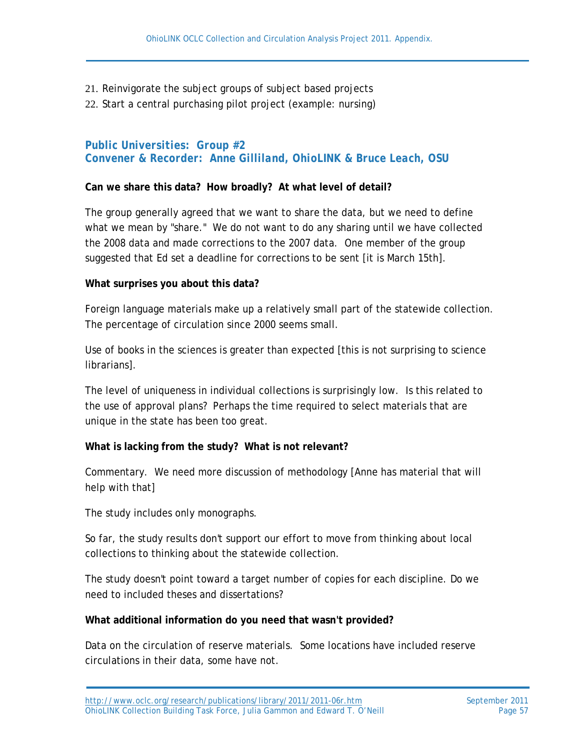#### 21. Reinvigorate the subject groups of subject based projects

22. Start a central purchasing pilot project (example: nursing)

#### *Public Universities: Group #2 Convener & Recorder: Anne Gilliland, OhioLINK & Bruce Leach, OSU*

#### **Can we share this data? How broadly? At what level of detail?**

The group generally agreed that we want to share the data, but we need to define what we mean by "share." We do not want to do any sharing until we have collected the 2008 data and made corrections to the 2007 data. One member of the group suggested that Ed set a deadline for corrections to be sent [it is March 15th].

#### **What surprises you about this data?**

Foreign language materials make up a relatively small part of the statewide collection. The percentage of circulation since 2000 seems small.

Use of books in the sciences is greater than expected [this is not surprising to science librarians].

The level of uniqueness in individual collections is surprisingly low. Is this related to the use of approval plans? Perhaps the time required to select materials that are unique in the state has been too great.

#### **What is lacking from the study? What is not relevant?**

Commentary. We need more discussion of methodology [Anne has material that will help with that]

The study includes only monographs.

So far, the study results don't support our effort to move from thinking about local collections to thinking about the statewide collection.

The study doesn't point toward a target number of copies for each discipline. Do we need to included theses and dissertations?

#### **What additional information do you need that wasn't provided?**

Data on the circulation of reserve materials. Some locations have included reserve circulations in their data, some have not.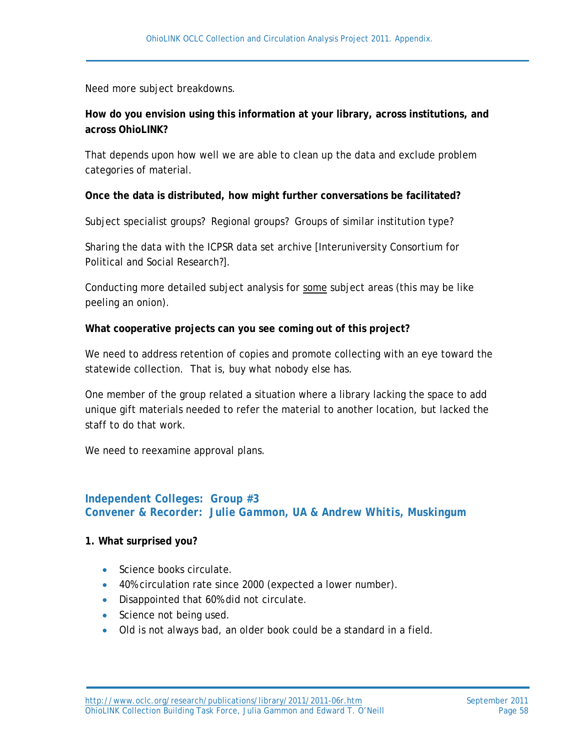Need more subject breakdowns.

# **How do you envision using this information at your library, across institutions, and across OhioLINK?**

That depends upon how well we are able to clean up the data and exclude problem categories of material.

#### **Once the data is distributed, how might further conversations be facilitated?**

Subject specialist groups? Regional groups? Groups of similar institution type?

Sharing the data with the ICPSR data set archive [Interuniversity Consortium for Political and Social Research?].

Conducting more detailed subject analysis for some subject areas (this may be like peeling an onion).

#### **What cooperative projects can you see coming out of this project?**

We need to address retention of copies and promote collecting with an eye toward the statewide collection. That is, buy what nobody else has.

One member of the group related a situation where a library lacking the space to add unique gift materials needed to refer the material to another location, but lacked the staff to do that work.

We need to reexamine approval plans.

### *Independent Colleges: Group #3 Convener & Recorder: Julie Gammon, UA & Andrew Whitis, Muskingum*

#### **1. What surprised you?**

- Science books circulate.
- 40% circulation rate since 2000 (expected a lower number).
- Disappointed that 60% did not circulate.
- Science not being used.
- Old is not always bad, an older book could be a standard in a field.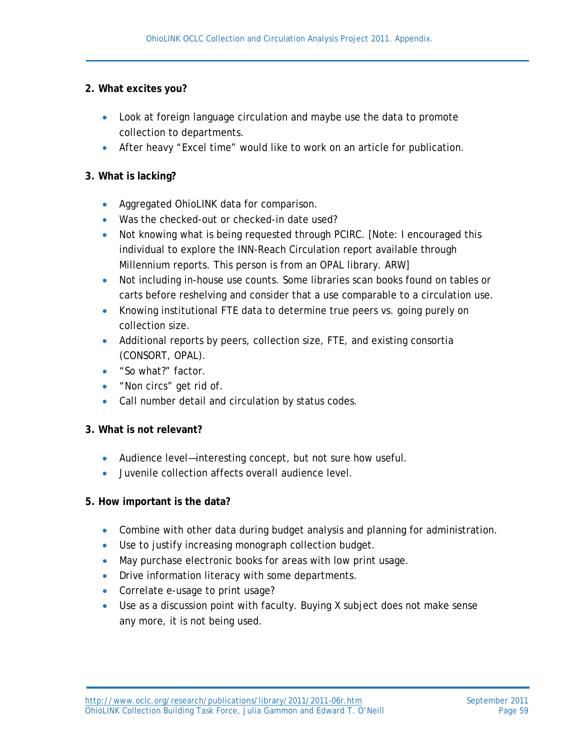#### **2. What excites you?**

- Look at foreign language circulation and maybe use the data to promote collection to departments.
- After heavy "Excel time" would like to work on an article for publication.

#### **3. What is lacking?**

- Aggregated OhioLINK data for comparison.
- Was the checked-out or checked-in date used?
- Not knowing what is being requested through PCIRC. [Note: I encouraged this individual to explore the INN-Reach Circulation report available through Millennium reports. This person is from an OPAL library. ARW]
- Not including in-house use counts. Some libraries scan books found on tables or carts before reshelving and consider that a use comparable to a circulation use.
- Knowing institutional FTE data to determine true peers vs. going purely on collection size.
- Additional reports by peers, collection size, FTE, and existing consortia (CONSORT, OPAL).
- "So what?" factor.
- "Non circs" get rid of.
- Call number detail and circulation by status codes.

#### **3. What is not relevant?**

- Audience level—interesting concept, but not sure how useful.
- Juvenile collection affects overall audience level.

#### **5. How important is the data?**

- Combine with other data during budget analysis and planning for administration.
- Use to justify increasing monograph collection budget.
- May purchase electronic books for areas with low print usage.
- Drive information literacy with some departments.
- Correlate e-usage to print usage?
- Use as a discussion point with faculty. Buying X subject does not make sense any more, it is not being used.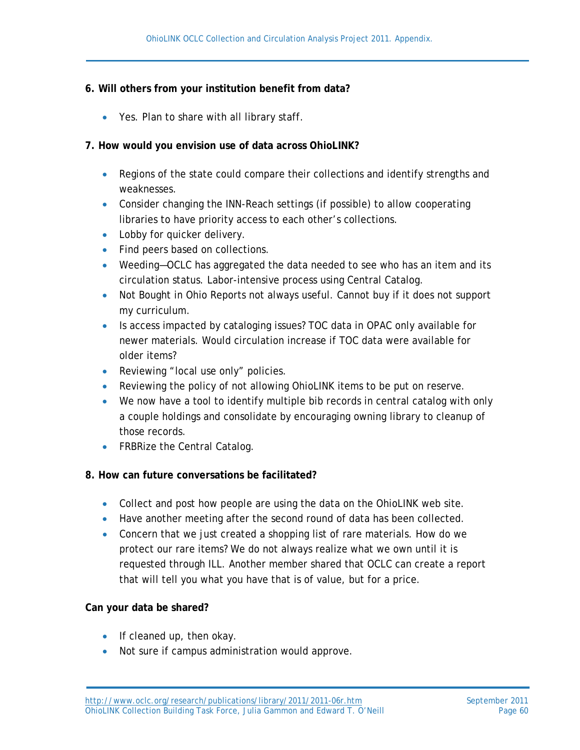#### **6. Will others from your institution benefit from data?**

• Yes. Plan to share with all library staff.

#### **7. How would you envision use of data across OhioLINK?**

- Regions of the state could compare their collections and identify strengths and weaknesses.
- Consider changing the INN-Reach settings (if possible) to allow cooperating libraries to have priority access to each other's collections.
- Lobby for quicker delivery.
- Find peers based on collections.
- Weeding-OCLC has aggregated the data needed to see who has an item and its circulation status. Labor-intensive process using Central Catalog.
- Not Bought in Ohio Reports not always useful. Cannot buy if it does not support my curriculum.
- Is access impacted by cataloging issues? TOC data in OPAC only available for newer materials. Would circulation increase if TOC data were available for older items?
- Reviewing "local use only" policies.
- Reviewing the policy of not allowing OhioLINK items to be put on reserve.
- We now have a tool to identify multiple bib records in central catalog with only a couple holdings and consolidate by encouraging owning library to cleanup of those records.
- FRBRize the Central Catalog.

#### **8. How can future conversations be facilitated?**

- Collect and post how people are using the data on the OhioLINK web site.
- Have another meeting after the second round of data has been collected.
- Concern that we just created a shopping list of rare materials. How do we protect our rare items? We do not always realize what we own until it is requested through ILL. Another member shared that OCLC can create a report that will tell you what you have that is of value, but for a price.

#### **Can your data be shared?**

- If cleaned up, then okay.
- Not sure if campus administration would approve.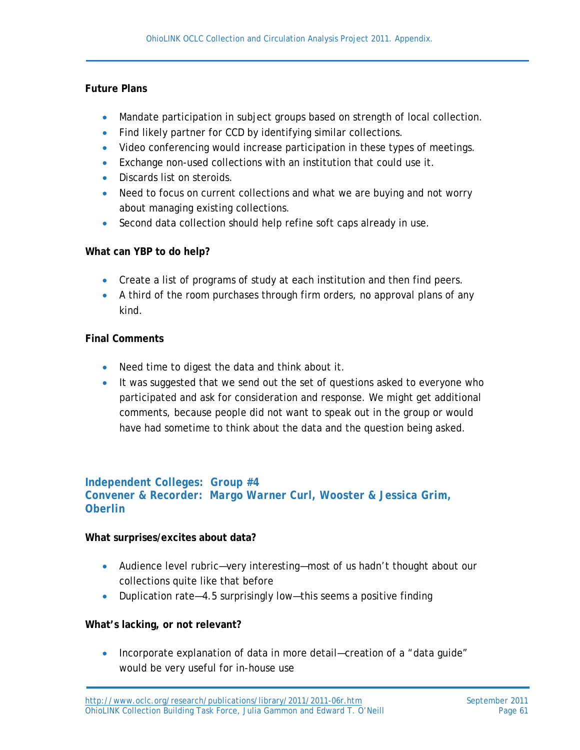#### **Future Plans**

- Mandate participation in subject groups based on strength of local collection.
- Find likely partner for CCD by identifying similar collections.
- Video conferencing would increase participation in these types of meetings.
- Exchange non-used collections with an institution that could use it.
- Discards list on steroids.
- Need to focus on current collections and what we are buying and not worry about managing existing collections.
- Second data collection should help refine soft caps already in use.

#### **What can YBP to do help?**

- Create a list of programs of study at each institution and then find peers.
- A third of the room purchases through firm orders, no approval plans of any kind.

### **Final Comments**

- Need time to digest the data and think about it.
- It was suggested that we send out the set of questions asked to everyone who participated and ask for consideration and response. We might get additional comments, because people did not want to speak out in the group or would have had sometime to think about the data and the question being asked.

### *Independent Colleges: Group #4 Convener & Recorder: Margo Warner Curl, Wooster & Jessica Grim, Oberlin*

#### **What surprises/excites about data?**

- Audience level rubric—very interesting—most of us hadn't thought about our collections quite like that before
- Duplication rate—4.5 surprisingly low—this seems a positive finding

#### **What's lacking, or not relevant?**

• Incorporate explanation of data in more detail—creation of a "data quide" would be very useful for in-house use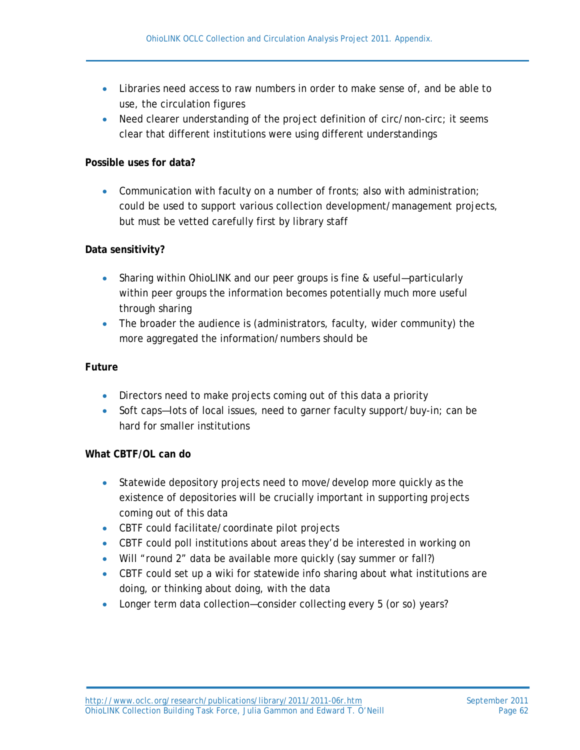- Libraries need access to raw numbers in order to make sense of, and be able to use, the circulation figures
- Need clearer understanding of the project definition of circ/non-circ; it seems clear that different institutions were using different understandings

#### **Possible uses for data?**

• Communication with faculty on a number of fronts; also with administration; could be used to support various collection development/management projects, but must be vetted carefully first by library staff

#### **Data sensitivity?**

- Sharing within OhioLINK and our peer groups is fine & useful—particularly within peer groups the information becomes potentially much more useful through sharing
- The broader the audience is (administrators, faculty, wider community) the more aggregated the information/numbers should be

#### **Future**

- Directors need to make projects coming out of this data a priority
- Soft caps-lots of local issues, need to garner faculty support/buy-in; can be hard for smaller institutions

#### **What CBTF/OL can do**

- Statewide depository projects need to move/develop more quickly as the existence of depositories will be crucially important in supporting projects coming out of this data
- CBTF could facilitate/coordinate pilot projects
- CBTF could poll institutions about areas they'd be interested in working on
- Will "round 2" data be available more quickly (say summer or fall?)
- CBTF could set up a wiki for statewide info sharing about what institutions are doing, or thinking about doing, with the data
- Longer term data collection-consider collecting every 5 (or so) years?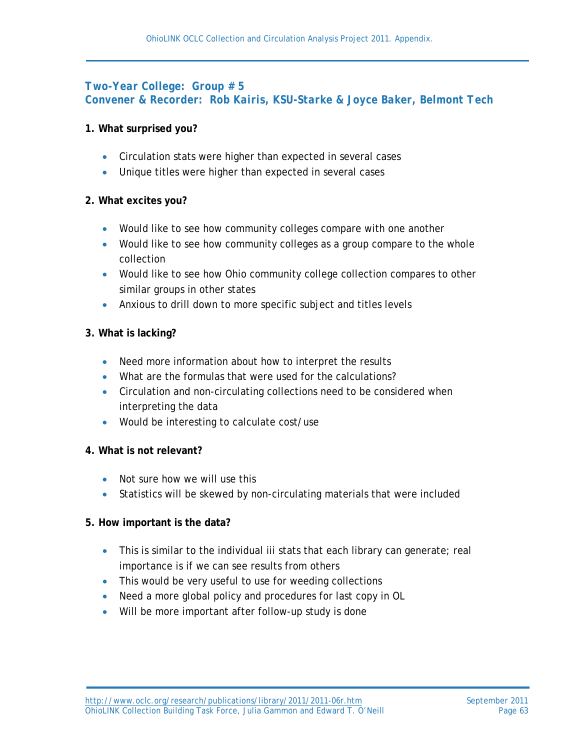## *Two-Year College: Group # 5 Convener & Recorder: Rob Kairis, KSU-Starke & Joyce Baker, Belmont Tech*

#### **1. What surprised you?**

- Circulation stats were higher than expected in several cases
- Unique titles were higher than expected in several cases

#### **2. What excites you?**

- Would like to see how community colleges compare with one another
- Would like to see how community colleges as a group compare to the whole collection
- Would like to see how Ohio community college collection compares to other similar groups in other states
- Anxious to drill down to more specific subject and titles levels

#### **3. What is lacking?**

- Need more information about how to interpret the results
- What are the formulas that were used for the calculations?
- Circulation and non-circulating collections need to be considered when interpreting the data
- Would be interesting to calculate cost/use

#### **4. What is not relevant?**

- Not sure how we will use this
- Statistics will be skewed by non-circulating materials that were included

#### **5. How important is the data?**

- This is similar to the individual iii stats that each library can generate; real importance is if we can see results from others
- This would be very useful to use for weeding collections
- Need a more global policy and procedures for last copy in OL
- Will be more important after follow-up study is done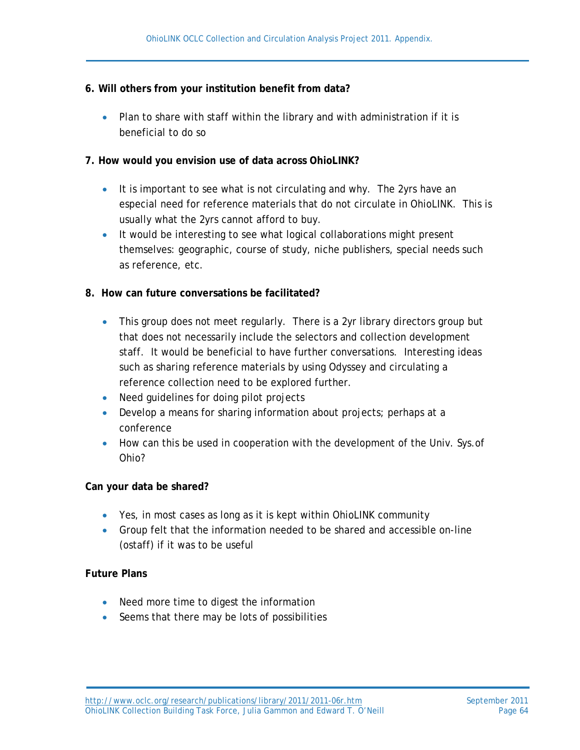#### **6. Will others from your institution benefit from data?**

• Plan to share with staff within the library and with administration if it is beneficial to do so

#### **7. How would you envision use of data across OhioLINK?**

- It is important to see what is not circulating and why. The 2yrs have an especial need for reference materials that do not circulate in OhioLINK. This is usually what the 2yrs cannot afford to buy.
- It would be interesting to see what logical collaborations might present themselves: geographic, course of study, niche publishers, special needs such as reference, etc.

#### **8. How can future conversations be facilitated?**

- This group does not meet regularly. There is a 2yr library directors group but that does not necessarily include the selectors and collection development staff. It would be beneficial to have further conversations. Interesting ideas such as sharing reference materials by using Odyssey and circulating a reference collection need to be explored further.
- Need quidelines for doing pilot projects
- Develop a means for sharing information about projects; perhaps at a conference
- How can this be used in cooperation with the development of the Univ. Sys. of Ohio?

#### **Can your data be shared?**

- Yes, in most cases as long as it is kept within OhioLINK community
- Group felt that the information needed to be shared and accessible on-line (ostaff) if it was to be useful

#### **Future Plans**

- Need more time to digest the information
- Seems that there may be lots of possibilities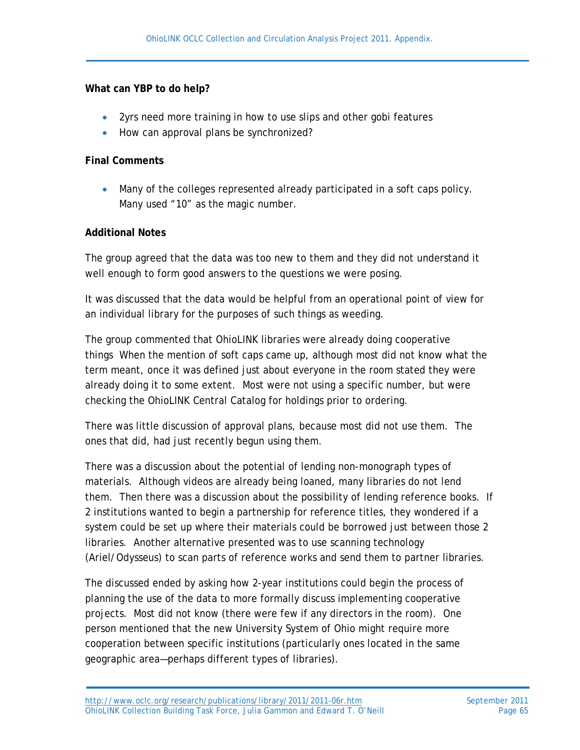#### **What can YBP to do help?**

- 2yrs need more training in how to use slips and other gobi features
- How can approval plans be synchronized?

#### **Final Comments**

• Many of the colleges represented already participated in a soft caps policy. Many used "10" as the magic number.

#### **Additional Notes**

The group agreed that the data was too new to them and they did not understand it well enough to form good answers to the questions we were posing.

It was discussed that the data would be helpful from an operational point of view for an individual library for the purposes of such things as weeding.

The group commented that OhioLINK libraries were already doing cooperative things When the mention of soft caps came up, although most did not know what the term meant, once it was defined just about everyone in the room stated they were already doing it to some extent. Most were not using a specific number, but were checking the OhioLINK Central Catalog for holdings prior to ordering.

There was little discussion of approval plans, because most did not use them. The ones that did, had just recently begun using them.

There was a discussion about the potential of lending non-monograph types of materials. Although videos are already being loaned, many libraries do not lend them. Then there was a discussion about the possibility of lending reference books. If 2 institutions wanted to begin a partnership for reference titles, they wondered if a system could be set up where their materials could be borrowed just between those 2 libraries. Another alternative presented was to use scanning technology (Ariel/Odysseus) to scan parts of reference works and send them to partner libraries.

The discussed ended by asking how 2-year institutions could begin the process of planning the use of the data to more formally discuss implementing cooperative projects. Most did not know (there were few if any directors in the room). One person mentioned that the new University System of Ohio might require more cooperation between specific institutions (particularly ones located in the same geographic area—perhaps different types of libraries).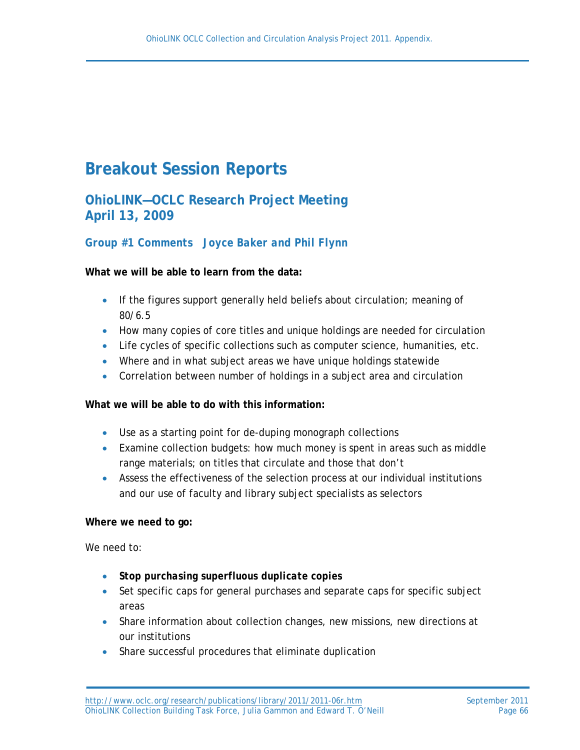# **Breakout Session Reports**

**OhioLINK—OCLC Research Project Meeting April 13, 2009**

# *Group #1 Comments Joyce Baker and Phil Flynn*

#### **What we will be able to learn from the data:**

- If the figures support generally held beliefs about circulation; meaning of 80/6.5
- How many copies of core titles and unique holdings are needed for circulation
- Life cycles of specific collections such as computer science, humanities, etc.
- Where and in what subject areas we have unique holdings statewide
- Correlation between number of holdings in a subject area and circulation

#### **What we will be able to do with this information:**

- Use as a starting point for de-duping monograph collections
- Examine collection budgets: how much money is spent in areas such as middle range materials; on titles that circulate and those that don't
- Assess the effectiveness of the selection process at our individual institutions and our use of faculty and library subject specialists as selectors

#### **Where we need to go:**

We need to:

- *Stop purchasing superfluous duplicate copies*
- Set specific caps for general purchases and separate caps for specific subject areas
- Share information about collection changes, new missions, new directions at our institutions
- Share successful procedures that eliminate duplication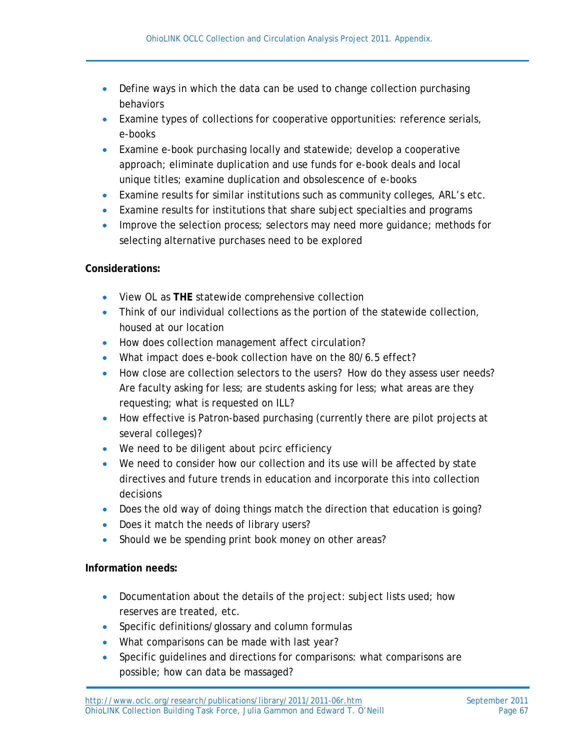- Define ways in which the data can be used to change collection purchasing behaviors
- Examine types of collections for cooperative opportunities: reference serials, e-books
- Examine e-book purchasing locally and statewide; develop a cooperative approach; eliminate duplication and use funds for e-book deals and local unique titles; examine duplication and obsolescence of e-books
- Examine results for similar institutions such as community colleges, ARL's etc.
- Examine results for institutions that share subject specialties and programs
- Improve the selection process; selectors may need more guidance; methods for selecting alternative purchases need to be explored

#### **Considerations:**

- View OL as **THE** statewide comprehensive collection
- Think of our individual collections as the portion of the statewide collection, housed at our location
- How does collection management affect circulation?
- What impact does e-book collection have on the 80/6.5 effect?
- How close are collection selectors to the users? How do they assess user needs? Are faculty asking for less; are students asking for less; what areas are they requesting; what is requested on ILL?
- How effective is Patron-based purchasing (currently there are pilot projects at several colleges)?
- We need to be diligent about pcirc efficiency
- We need to consider how our collection and its use will be affected by state directives and future trends in education and incorporate this into collection decisions
- Does the old way of doing things match the direction that education is going?
- Does it match the needs of library users?
- Should we be spending print book money on other areas?

#### **Information needs:**

- Documentation about the details of the project: subject lists used; how reserves are treated, etc.
- Specific definitions/glossary and column formulas
- What comparisons can be made with last year?
- Specific guidelines and directions for comparisons: what comparisons are possible; how can data be massaged?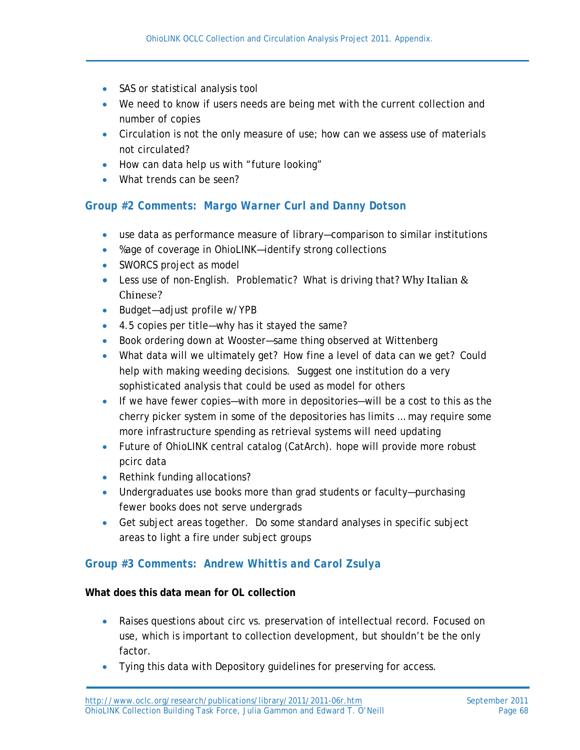- SAS or statistical analysis tool
- We need to know if users needs are being met with the current collection and number of copies
- Circulation is not the only measure of use; how can we assess use of materials not circulated?
- How can data help us with "future looking"
- What trends can be seen?

### *Group #2 Comments: Margo Warner Curl and Danny Dotson*

- use data as performance measure of library—comparison to similar institutions
- %age of coverage in OhioLINK—identify strong collections
- SWORCS project as model
- Less use of non-English. Problematic? What is driving that? Why Italian & Chinese?
- Budget-adjust profile w/YPB
- 4.5 copies per title—why has it stayed the same?
- Book ordering down at Wooster—same thing observed at Wittenberg
- What data will we ultimately get? How fine a level of data can we get? Could help with making weeding decisions. Suggest one institution do a very sophisticated analysis that could be used as model for others
- If we have fewer copies—with more in depositories—will be a cost to this as the cherry picker system in some of the depositories has limits … may require some more infrastructure spending as retrieval systems will need updating
- Future of OhioLINK central catalog (CatArch). hope will provide more robust pcirc data
- Rethink funding allocations?
- Undergraduates use books more than grad students or faculty—purchasing fewer books does not serve undergrads
- Get subject areas together. Do some standard analyses in specific subject areas to light a fire under subject groups

#### *Group #3 Comments: Andrew Whittis and Carol Zsulya*

#### **What does this data mean for OL collection**

- Raises questions about circ vs. preservation of intellectual record. Focused on use, which is important to collection development, but shouldn't be the only factor.
- Tying this data with Depository guidelines for preserving for access.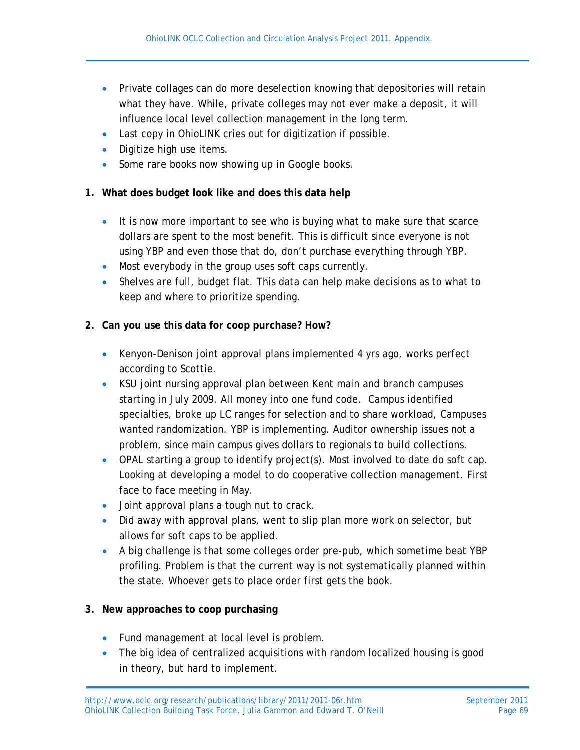- Private collages can do more deselection knowing that depositories will retain what they have. While, private colleges may not ever make a deposit, it will influence local level collection management in the long term.
- Last copy in OhioLINK cries out for digitization if possible.
- Digitize high use items.
- Some rare books now showing up in Google books.
- **1. What does budget look like and does this data help**
	- It is now more important to see who is buying what to make sure that scarce dollars are spent to the most benefit. This is difficult since everyone is not using YBP and even those that do, don't purchase everything through YBP.
	- Most everybody in the group uses soft caps currently.
	- Shelves are full, budget flat. This data can help make decisions as to what to keep and where to prioritize spending.

# **2. Can you use this data for coop purchase? How?**

- Kenyon-Denison joint approval plans implemented 4 yrs ago, works perfect according to Scottie.
- KSU joint nursing approval plan between Kent main and branch campuses starting in July 2009. All money into one fund code. Campus identified specialties, broke up LC ranges for selection and to share workload, Campuses wanted randomization. YBP is implementing. Auditor ownership issues not a problem, since main campus gives dollars to regionals to build collections.
- OPAL starting a group to identify project(s). Most involved to date do soft cap. Looking at developing a model to do cooperative collection management. First face to face meeting in May.
- Joint approval plans a tough nut to crack.
- Did away with approval plans, went to slip plan more work on selector, but allows for soft caps to be applied.
- A big challenge is that some colleges order pre-pub, which sometime beat YBP profiling. Problem is that the current way is not systematically planned within the state. Whoever gets to place order first gets the book.

# **3. New approaches to coop purchasing**

- Fund management at local level is problem.
- The big idea of centralized acquisitions with random localized housing is good in theory, but hard to implement.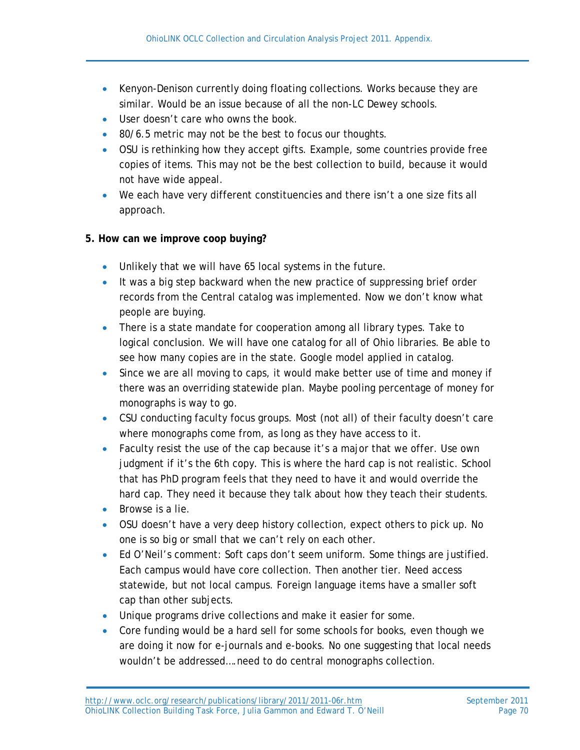- Kenyon-Denison currently doing floating collections. Works because they are similar. Would be an issue because of all the non-LC Dewey schools.
- User doesn't care who owns the book.
- 80/6.5 metric may not be the best to focus our thoughts.
- OSU is rethinking how they accept gifts. Example, some countries provide free copies of items. This may not be the best collection to build, because it would not have wide appeal.
- We each have very different constituencies and there isn't a one size fits all approach.

# **5. How can we improve coop buying?**

- Unlikely that we will have 65 local systems in the future.
- It was a big step backward when the new practice of suppressing brief order records from the Central catalog was implemented. Now we don't know what people are buying.
- There is a state mandate for cooperation among all library types. Take to logical conclusion. We will have one catalog for all of Ohio libraries. Be able to see how many copies are in the state. Google model applied in catalog.
- Since we are all moving to caps, it would make better use of time and money if there was an overriding statewide plan. Maybe pooling percentage of money for monographs is way to go.
- CSU conducting faculty focus groups. Most (not all) of their faculty doesn't care where monographs come from, as long as they have access to it.
- Faculty resist the use of the cap because it's a major that we offer. Use own judgment if it's the 6th copy. This is where the hard cap is not realistic. School that has PhD program feels that they need to have it and would override the hard cap. They need it because they talk about how they teach their students.
- Browse is a lie.
- OSU doesn't have a very deep history collection, expect others to pick up. No one is so big or small that we can't rely on each other.
- Ed O'Neil's comment: Soft caps don't seem uniform. Some things are justified. Each campus would have core collection. Then another tier. Need access statewide, but not local campus. Foreign language items have a smaller soft cap than other subjects.
- Unique programs drive collections and make it easier for some.
- Core funding would be a hard sell for some schools for books, even though we are doing it now for e-journals and e-books. No one suggesting that local needs wouldn't be addressed….need to do central monographs collection.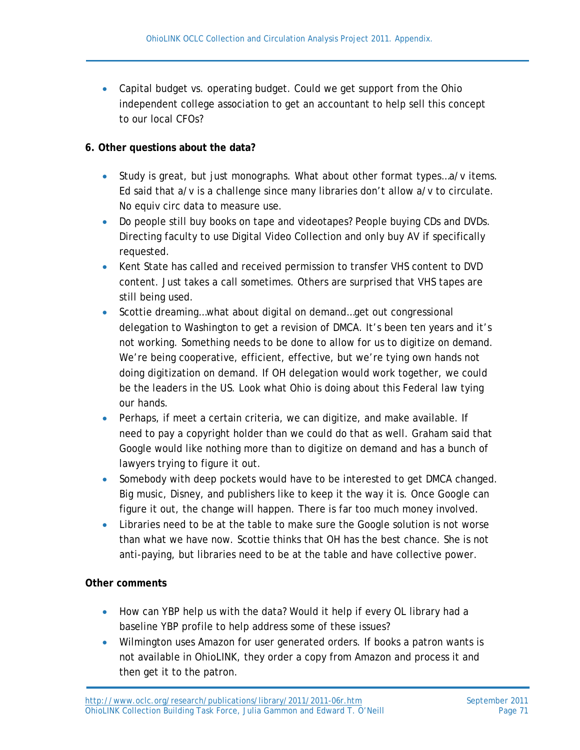• Capital budget vs. operating budget. Could we get support from the Ohio independent college association to get an accountant to help sell this concept to our local CFOs?

#### **6. Other questions about the data?**

- Study is great, but just monographs. What about other format types...a/v items. Ed said that a/v is a challenge since many libraries don't allow a/v to circulate. No equiv circ data to measure use.
- Do people still buy books on tape and videotapes? People buying CDs and DVDs. Directing faculty to use Digital Video Collection and only buy AV if specifically requested.
- Kent State has called and received permission to transfer VHS content to DVD content. Just takes a call sometimes. Others are surprised that VHS tapes are still being used.
- Scottie dreaming…what about digital on demand…get out congressional delegation to Washington to get a revision of DMCA. It's been ten years and it's not working. Something needs to be done to allow for us to digitize on demand. We're being cooperative, efficient, effective, but we're tying own hands not doing digitization on demand. If OH delegation would work together, we could be the leaders in the US. Look what Ohio is doing about this Federal law tying our hands.
- Perhaps, if meet a certain criteria, we can digitize, and make available. If need to pay a copyright holder than we could do that as well. Graham said that Google would like nothing more than to digitize on demand and has a bunch of lawyers trying to figure it out.
- Somebody with deep pockets would have to be interested to get DMCA changed. Big music, Disney, and publishers like to keep it the way it is. Once Google can figure it out, the change will happen. There is far too much money involved.
- Libraries need to be at the table to make sure the Google solution is not worse than what we have now. Scottie thinks that OH has the best chance. She is not anti-paying, but libraries need to be at the table and have collective power.

#### **Other comments**

- How can YBP help us with the data? Would it help if every OL library had a baseline YBP profile to help address some of these issues?
- Wilmington uses Amazon for user generated orders. If books a patron wants is not available in OhioLINK, they order a copy from Amazon and process it and then get it to the patron.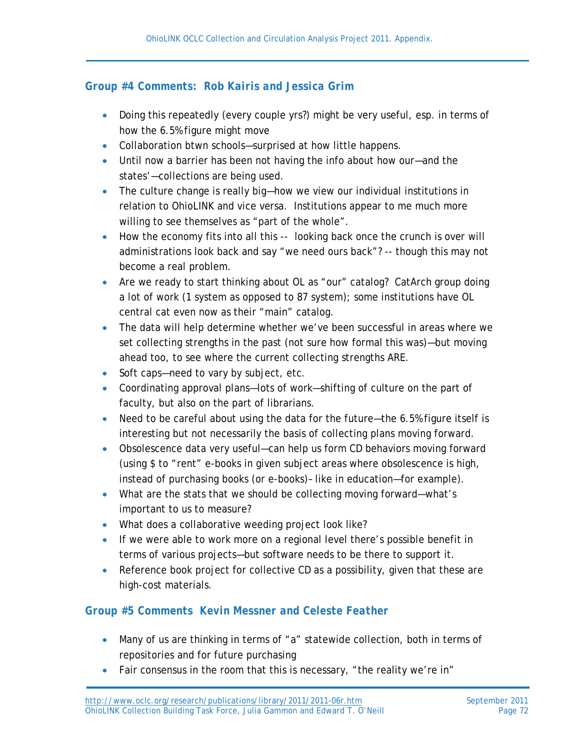# *Group #4 Comments: Rob Kairis and Jessica Grim*

- Doing this repeatedly (every couple yrs?) might be very useful, esp. in terms of how the 6.5% figure might move
- Collaboration btwn schools—surprised at how little happens.
- Until now a barrier has been not having the info about how our—and the states'—collections are being used.
- The culture change is really big—how we view our individual institutions in relation to OhioLINK and vice versa. Institutions appear to me much more willing to see themselves as "part of the whole".
- How the economy fits into all this -- looking back once the crunch is over will administrations look back and say "we need ours back"? -- though this may not become a real problem.
- Are we ready to start thinking about OL as "our" catalog? CatArch group doing a lot of work (1 system as opposed to 87 system); some institutions have OL central cat even now as their "main" catalog.
- The data will help determine whether we've been successful in areas where we set collecting strengths in the past (not sure how formal this was)—but moving ahead too, to see where the current collecting strengths ARE.
- Soft caps—need to vary by subject, etc.
- Coordinating approval plans—lots of work—shifting of culture on the part of faculty, but also on the part of librarians.
- Need to be careful about using the data for the future—the 6.5% figure itself is interesting but not necessarily the basis of collecting plans moving forward.
- Obsolescence data very useful—can help us form CD behaviors moving forward (using \$ to "rent" e-books in given subject areas where obsolescence is high, instead of purchasing books (or e-books)– like in education—for example).
- What are the stats that we should be collecting moving forward—what's important to us to measure?
- What does a collaborative weeding project look like?
- If we were able to work more on a regional level there's possible benefit in terms of various projects—but software needs to be there to support it.
- Reference book project for collective CD as a possibility, given that these are high-cost materials.

# *Group #5 Comments Kevin Messner and Celeste Feather*

- Many of us are thinking in terms of "a" statewide collection, both in terms of repositories and for future purchasing
- Fair consensus in the room that this is necessary, "the reality we're in"